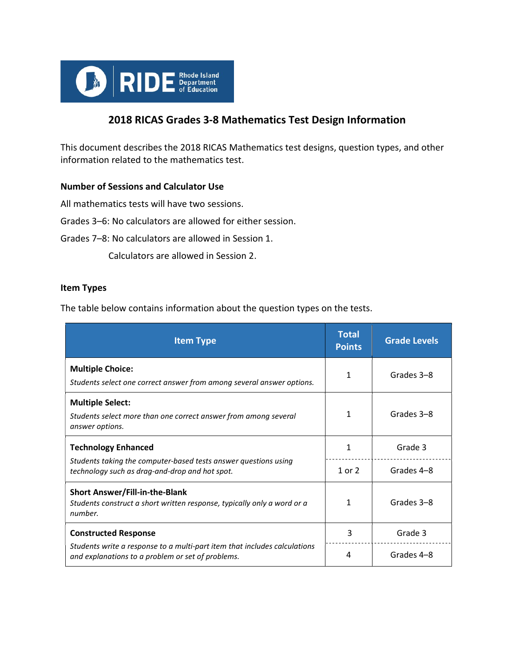

# 2018 RICAS Grades 3-8 Mathematics Test Design Information

This document describes the 2018 RICAS Mathematics test designs, question types, and other information related to the mathematics test.

# Number of Sessions and Calculator Use

All mathematics tests will have two sessions.

Grades 3–6: No calculators are allowed for either session.

Grades 7–8: No calculators are allowed in Session 1.

Calculators are allowed in Session 2.

#### Item Types

The table below contains information about the question types on the tests.

| <b>Item Type</b>                                                                                                               | <b>Total</b><br><b>Points</b> | <b>Grade Levels</b> |
|--------------------------------------------------------------------------------------------------------------------------------|-------------------------------|---------------------|
| <b>Multiple Choice:</b><br>Students select one correct answer from among several answer options.                               | 1                             | Grades 3-8          |
| <b>Multiple Select:</b><br>Students select more than one correct answer from among several<br>answer options.                  | 1                             | Grades 3-8          |
| <b>Technology Enhanced</b>                                                                                                     |                               | Grade 3             |
| Students taking the computer-based tests answer questions using<br>technology such as drag-and-drop and hot spot.              | 1 or $2$                      | Grades 4-8          |
| <b>Short Answer/Fill-in-the-Blank</b><br>Students construct a short written response, typically only a word or a<br>number.    | 1                             | Grades 3-8          |
| <b>Constructed Response</b>                                                                                                    | 3                             | Grade 3             |
| Students write a response to a multi-part item that includes calculations<br>and explanations to a problem or set of problems. | 4                             | Grades 4-8          |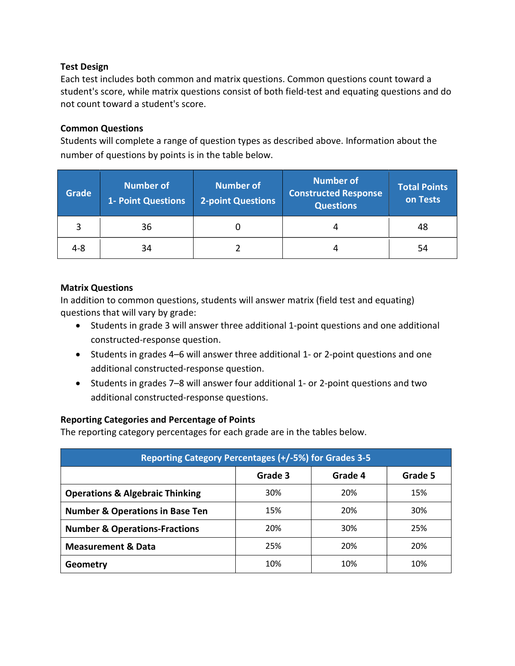## Test Design

Each test includes both common and matrix questions. Common questions count toward a student's score, while matrix questions consist of both field-test and equating questions and do not count toward a student's score.

### Common Questions

Students will complete a range of question types as described above. Information about the number of questions by points is in the table below.

| Grade | <b>Number of</b><br><b>1- Point Questions</b> | <b>Number of</b><br><b>2-point Questions</b> | <b>Number of</b><br><b>Constructed Response</b><br><b>Questions</b> | <b>Total Points</b><br>on Tests |
|-------|-----------------------------------------------|----------------------------------------------|---------------------------------------------------------------------|---------------------------------|
|       | 36                                            |                                              |                                                                     | 48                              |
| 4-8   | 34                                            |                                              |                                                                     | 54                              |

## Matrix Questions

In addition to common questions, students will answer matrix (field test and equating) questions that will vary by grade:

- Students in grade 3 will answer three additional 1-point questions and one additional constructed-response question.
- Students in grades 4–6 will answer three additional 1- or 2-point questions and one additional constructed-response question.
- Students in grades 7–8 will answer four additional 1- or 2-point questions and two additional constructed-response questions.

# Reporting Categories and Percentage of Points

The reporting category percentages for each grade are in the tables below.

| Reporting Category Percentages (+/-5%) for Grades 3-5 |         |         |         |  |  |
|-------------------------------------------------------|---------|---------|---------|--|--|
|                                                       | Grade 3 | Grade 4 | Grade 5 |  |  |
| <b>Operations &amp; Algebraic Thinking</b>            | 30%     | 20%     | 15%     |  |  |
| <b>Number &amp; Operations in Base Ten</b>            | 15%     | 20%     | 30%     |  |  |
| <b>Number &amp; Operations-Fractions</b>              | 20%     | 30%     | 25%     |  |  |
| <b>Measurement &amp; Data</b>                         | 25%     | 20%     | 20%     |  |  |
| Geometry                                              | 10%     | 10%     | 10%     |  |  |